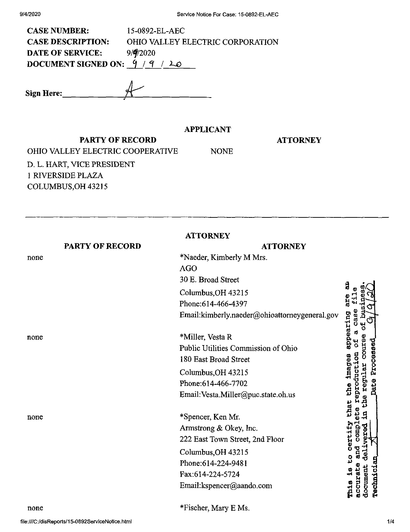| <b>CASE NUMBER:</b>              | 15-0892-EL-AEC                          |
|----------------------------------|-----------------------------------------|
| <b>CASE DESCRIPTION:</b>         | <b>OHIO VALLEY ELECTRIC CORPORATION</b> |
| <b>DATE OF SERVICE:</b>          | 9/9/2020                                |
| DOCUMENT SIGNED ON: $9 / 9 / 20$ |                                         |
|                                  |                                         |

| Sign Here: |  |
|------------|--|
|            |  |

## **APPLICANT**

NONE

## **ATTORNEY**

**PARTY OF RECORD** OHIO VALLEY ELECTRIC COOPERATIVE D. L. HART, VICE PRESIDENT <sup>1</sup> RIVERSIDE PLAZA COLUMBUS,OH 43215

|      |                        | <b>ATTORNEY</b>                               |                         |
|------|------------------------|-----------------------------------------------|-------------------------|
|      | <b>PARTY OF RECORD</b> | <b>ATTORNEY</b>                               |                         |
| none |                        | *Naeder, Kimberly M Mrs.                      |                         |
|      |                        | <b>AGO</b>                                    |                         |
|      |                        | 30 E. Broad Street                            |                         |
|      |                        | Columbus, OH 43215                            | g                       |
|      |                        | Phone: 614-466-4397                           | are                     |
|      |                        | Email:kimberly.naeder@ohioattorneygeneral.gov | a<br>d                  |
| none |                        | *Miller, Vesta R                              | prinsequa               |
|      |                        | Public Utilities Commission of Ohio           |                         |
|      |                        | 180 East Broad Street                         | Processed               |
|      |                        | Columbus, OH 43215                            |                         |
|      |                        | Phone: 614-466-7702                           | Date                    |
|      |                        | Email: Vesta.Miller@puc.state.oh.us           | 5                       |
| none |                        | *Spencer, Ken Mr.                             | that                    |
|      |                        | Armstrong & Okey, Inc.                        | <b>Quos</b>             |
|      |                        | 222 East Town Street, 2nd Floor               | certif<br>Ò             |
|      |                        | Columbus, OH 43215                            |                         |
|      |                        | Phone: 614-224-9481                           |                         |
|      |                        | Fax:614-224-5724                              |                         |
|      |                        | Email:kspencer@aando.com                      | Technici<br>ת המטס<br>א |

none

\*Fischer, Mary E Ms.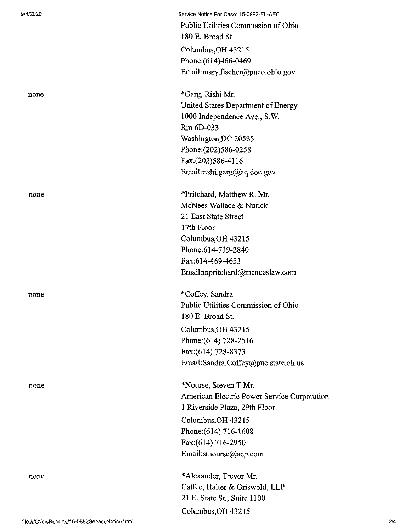Service Notice For Case: 15-0892-EL-AEC Public Utilities Commission of Ohio 180 E. Broad St. Columbus,OH 43215 Phone:(614)466-0469 Email:mary.fischer@puco.ohio.gov

none \*Garg, Rishi Mr. United States Department of Energy 1000 Independence Ave., S.W. Rm 6D-033 Washington,DC 20585 Phone:(202)586-0258 Fax:(202)586-4116 Email:rishi.garg@hq.doe.gov

none \*Pritchard, Matthew R. Mr. McNees Wallace & Nurick 21 East State Street 17th Floor Columbus,OH 43215 Phone:614-719-2840 Fax:614-469-4653 Email:mpritchard@mcneeslaw.com

none \*Coffey, Sandra Public Utilities Commission of Ohio 180 E. Broad St. Columbus,OH 43215 Phone:(614) 728-2516 Fax:(614) 728-8373 Email:Sandra.Coffey@puc.state.oh.us

none \*Nourse, Steven T Mr. American Electric Power Service Corporation <sup>1</sup> Riverside Plaza, 29th Floor

> Columbus,OH 43215 Phone: (614) 716-1608 Fax:(614) 716-2950 Email:stnourse@aep.com

none \*Alexander, Trevor Mr. Calfee, Halter & Griswold, LLP 21 E. State St, Suite 1100 Columbus,OH 43215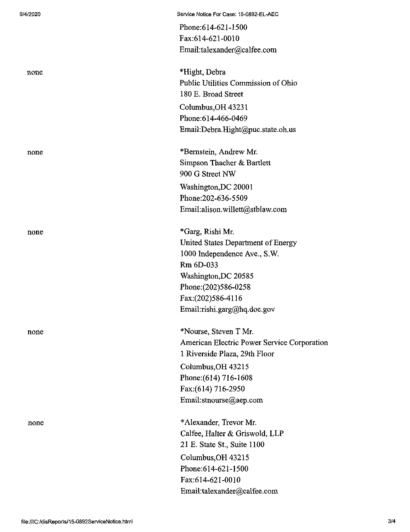|      | Fax:614-621-0010                            |
|------|---------------------------------------------|
|      | Email:talexander@calfee.com                 |
| none | *Hight, Debra                               |
|      | Public Utilities Commission of Ohio         |
|      | 180 E. Broad Street                         |
|      | Columbus, OH 43231                          |
|      | Phone: 614-466-0469                         |
|      | Email:Debra.Hight@puc.state.oh.us           |
| none | *Bernstein, Andrew Mr.                      |
|      | Simpson Thacher & Bartlett                  |
|      | 900 G Street NW                             |
|      | Washington, DC 20001                        |
|      | Phone: 202-636-5509                         |
|      | Email:alison.willett@stblaw.com             |
| none | *Garg, Rishi Mr.                            |
|      | United States Department of Energy          |
|      | 1000 Independence Ave., S.W.                |
|      | Rm 6D-033                                   |
|      | Washington, DC 20585                        |
|      | Phone: (202) 586-0258                       |
|      | Fax:(202)586-4116                           |
|      | Email:rishi.garg@hq.doe.gov                 |
| none | *Nourse, Steven T Mr.                       |
|      | American Electric Power Service Corporation |
|      | 1 Riverside Plaza, 29th Floor               |
|      | Columbus, OH 43215                          |
|      | Phone: (614) 716-1608                       |
|      | Fax:(614) 716-2950                          |
|      | Email:stnourse@aep.com                      |
| none | *Alexander, Trevor Mr.                      |
|      | Calfee, Halter & Griswold, LLP              |
|      | 21 E. State St., Suite 1100                 |
|      | Columbus, OH 43215                          |
|      | Phone: 614-621-1500                         |
|      | Fax:614-621-0010                            |

Phone:614-621-1500